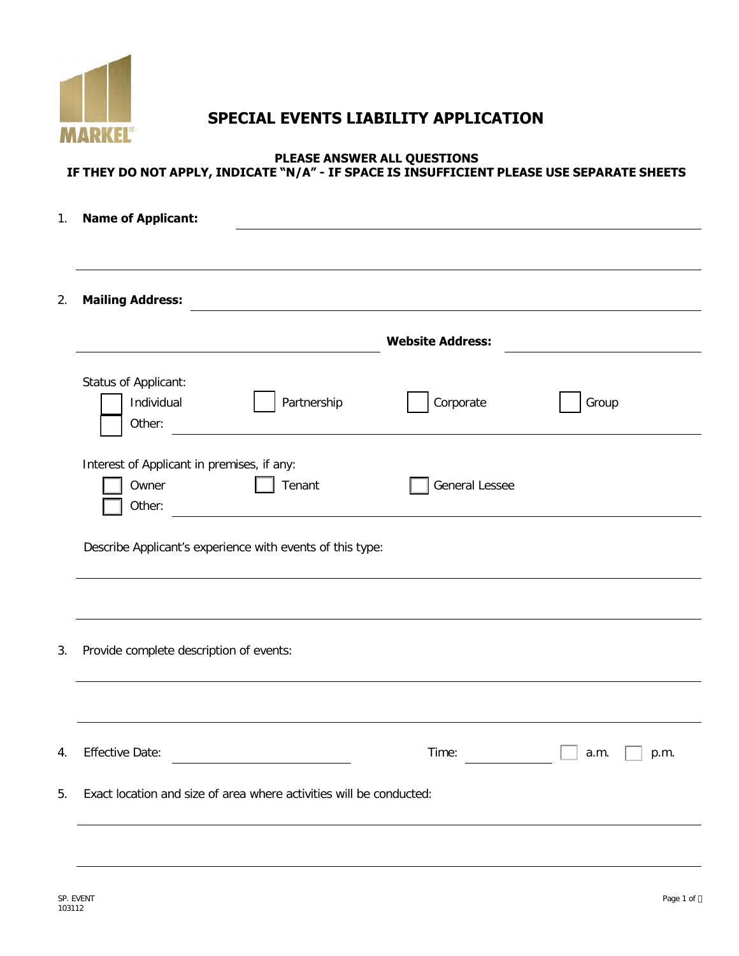

# **SPECIAL EVENTS LIABILITY APPLICATION**

### **PLEASE ANSWER ALL QUESTIONS IF THEY DO NOT APPLY, INDICATE "N/A" - IF SPACE IS INSUFFICIENT PLEASE USE SEPARATE SHEETS**

| 1.                     | <b>Name of Applicant:</b>                                     |                                                           |                                                                                  |              |  |  |
|------------------------|---------------------------------------------------------------|-----------------------------------------------------------|----------------------------------------------------------------------------------|--------------|--|--|
|                        |                                                               |                                                           |                                                                                  |              |  |  |
|                        | <b>Mailing Address:</b>                                       |                                                           | <u>a sa barang ang pagbabang nagang pangangang nagang pangangang nagang pang</u> |              |  |  |
|                        |                                                               |                                                           | <b>Website Address:</b>                                                          |              |  |  |
|                        | Status of Applicant:<br>Individual<br>Other:                  | Partnership                                               | Corporate                                                                        | Group        |  |  |
|                        | Interest of Applicant in premises, if any:<br>Owner<br>Other: | Tenant                                                    | <b>General Lessee</b>                                                            |              |  |  |
|                        |                                                               | Describe Applicant's experience with events of this type: |                                                                                  |              |  |  |
|                        |                                                               |                                                           |                                                                                  |              |  |  |
|                        | Provide complete description of events:                       |                                                           |                                                                                  |              |  |  |
|                        |                                                               |                                                           |                                                                                  |              |  |  |
|                        |                                                               |                                                           | Time:                                                                            | a.m.<br>p.m. |  |  |
| <b>Effective Date:</b> |                                                               |                                                           |                                                                                  |              |  |  |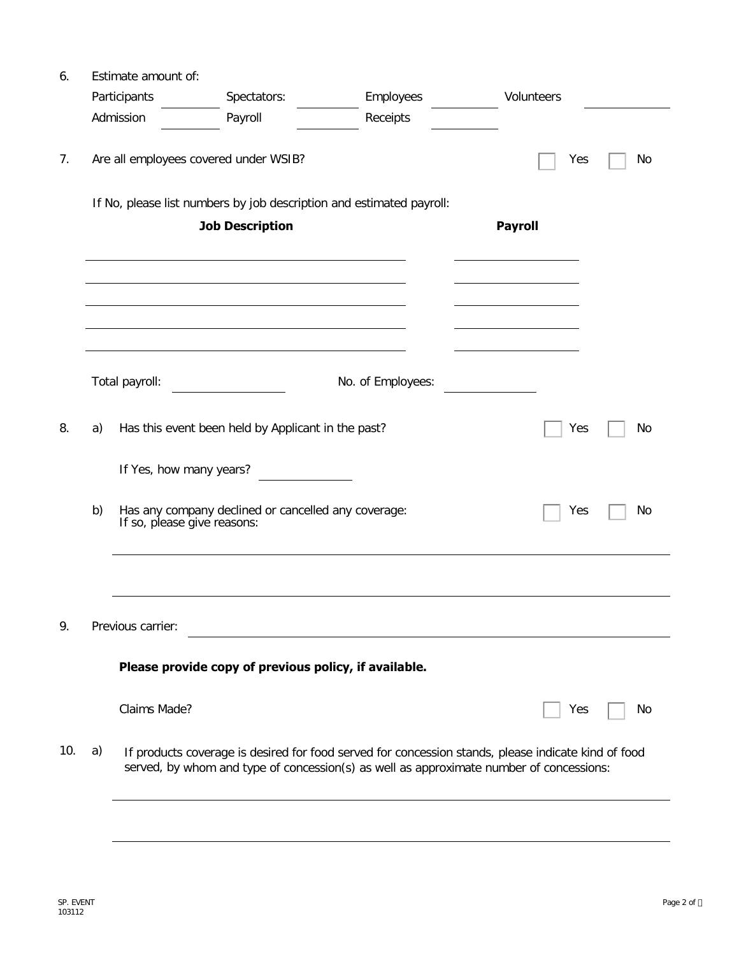| 6.  |    | Estimate amount of:     |                                                                                    |                                                                                                                                                                                                |                |    |  |  |  |
|-----|----|-------------------------|------------------------------------------------------------------------------------|------------------------------------------------------------------------------------------------------------------------------------------------------------------------------------------------|----------------|----|--|--|--|
|     |    | Participants            | Spectators:                                                                        | Employees                                                                                                                                                                                      | Volunteers     |    |  |  |  |
|     |    | Admission               | Payroll                                                                            | Receipts                                                                                                                                                                                       |                |    |  |  |  |
| 7.  |    |                         | Are all employees covered under WSIB?                                              |                                                                                                                                                                                                | Yes            | No |  |  |  |
|     |    |                         | If No, please list numbers by job description and estimated payroll:               |                                                                                                                                                                                                |                |    |  |  |  |
|     |    |                         | <b>Job Description</b>                                                             |                                                                                                                                                                                                | <b>Payroll</b> |    |  |  |  |
|     |    |                         |                                                                                    |                                                                                                                                                                                                |                |    |  |  |  |
|     |    |                         |                                                                                    |                                                                                                                                                                                                |                |    |  |  |  |
|     |    |                         |                                                                                    |                                                                                                                                                                                                |                |    |  |  |  |
|     |    |                         |                                                                                    |                                                                                                                                                                                                |                |    |  |  |  |
|     |    |                         |                                                                                    |                                                                                                                                                                                                |                |    |  |  |  |
|     |    |                         |                                                                                    |                                                                                                                                                                                                |                |    |  |  |  |
|     |    | Total payroll:          |                                                                                    | No. of Employees:                                                                                                                                                                              |                |    |  |  |  |
|     |    |                         |                                                                                    |                                                                                                                                                                                                |                |    |  |  |  |
| 8.  | a) |                         | Has this event been held by Applicant in the past?                                 |                                                                                                                                                                                                | Yes            | No |  |  |  |
|     |    | If Yes, how many years? |                                                                                    |                                                                                                                                                                                                |                |    |  |  |  |
|     |    |                         |                                                                                    |                                                                                                                                                                                                |                |    |  |  |  |
|     | b) |                         | Has any company declined or cancelled any coverage:<br>If so, please give reasons: |                                                                                                                                                                                                | Yes            | No |  |  |  |
|     |    |                         |                                                                                    |                                                                                                                                                                                                |                |    |  |  |  |
|     |    |                         |                                                                                    |                                                                                                                                                                                                |                |    |  |  |  |
|     |    |                         |                                                                                    |                                                                                                                                                                                                |                |    |  |  |  |
|     |    |                         |                                                                                    |                                                                                                                                                                                                |                |    |  |  |  |
| 9.  |    | Previous carrier:       |                                                                                    |                                                                                                                                                                                                |                |    |  |  |  |
|     |    |                         | Please provide copy of previous policy, if available.                              |                                                                                                                                                                                                |                |    |  |  |  |
|     |    |                         |                                                                                    |                                                                                                                                                                                                |                |    |  |  |  |
|     |    | Claims Made?            |                                                                                    |                                                                                                                                                                                                | Yes            | Νo |  |  |  |
|     |    |                         |                                                                                    |                                                                                                                                                                                                |                |    |  |  |  |
| 10. | a) |                         |                                                                                    | If products coverage is desired for food served for concession stands, please indicate kind of food<br>served, by whom and type of concession(s) as well as approximate number of concessions: |                |    |  |  |  |
|     |    |                         |                                                                                    |                                                                                                                                                                                                |                |    |  |  |  |
|     |    |                         |                                                                                    |                                                                                                                                                                                                |                |    |  |  |  |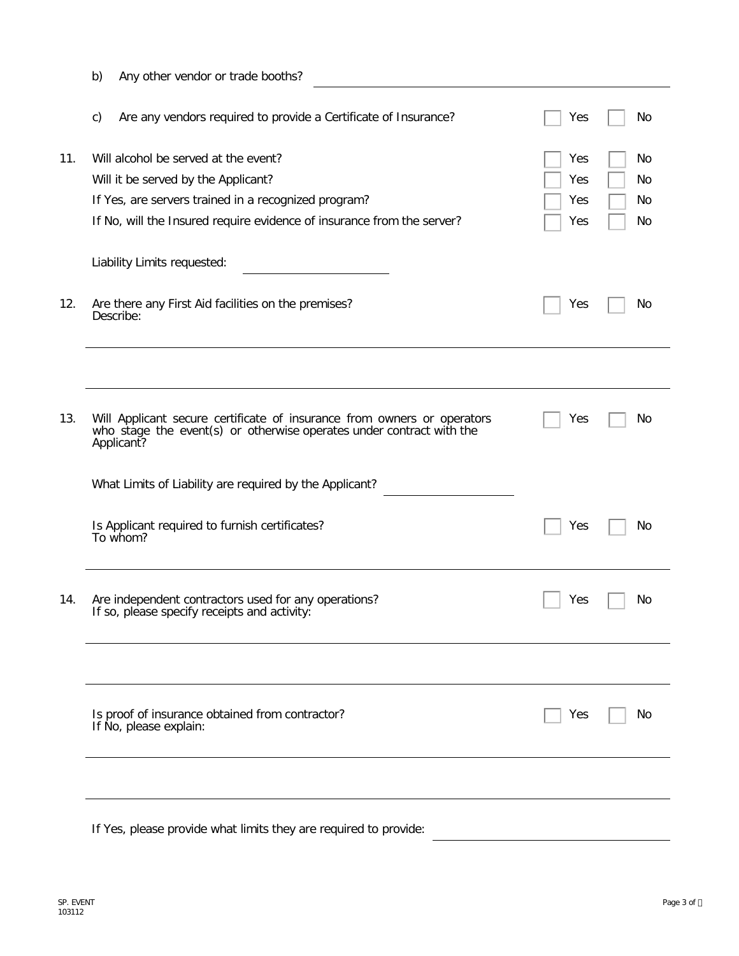|     | b)<br>Any other vendor or trade booths?                                                                                                                                                                       |                                                   |
|-----|---------------------------------------------------------------------------------------------------------------------------------------------------------------------------------------------------------------|---------------------------------------------------|
|     | Are any vendors required to provide a Certificate of Insurance?<br>c)                                                                                                                                         | Yes<br>No                                         |
| 11. | Will alcohol be served at the event?<br>Will it be served by the Applicant?<br>If Yes, are servers trained in a recognized program?<br>If No, will the Insured require evidence of insurance from the server? | Yes<br>No<br>Yes<br>No<br>Yes<br>No.<br>No<br>Yes |
|     | Liability Limits requested:                                                                                                                                                                                   |                                                   |
| 12. | Are there any First Aid facilities on the premises?<br>Describe:                                                                                                                                              | Yes<br>No                                         |
|     |                                                                                                                                                                                                               |                                                   |
| 13. | Will Applicant secure certificate of insurance from owners or operators<br>who stage the event(s) or otherwise operates under contract with the<br>Applicant?                                                 | Yes<br>No                                         |
|     | What Limits of Liability are required by the Applicant?                                                                                                                                                       |                                                   |
|     | Is Applicant required to furnish certificates?<br>To whom?                                                                                                                                                    | Yes<br>No                                         |
| 14. | Are independent contractors used for any operations?<br>If so, please specify receipts and activity:                                                                                                          | Yes<br>No                                         |
|     |                                                                                                                                                                                                               |                                                   |
|     | Is proof of insurance obtained from contractor?<br>If No, please explain:                                                                                                                                     | Yes<br>No                                         |
|     |                                                                                                                                                                                                               |                                                   |
|     | If Yes, please provide what limits they are required to provide:                                                                                                                                              |                                                   |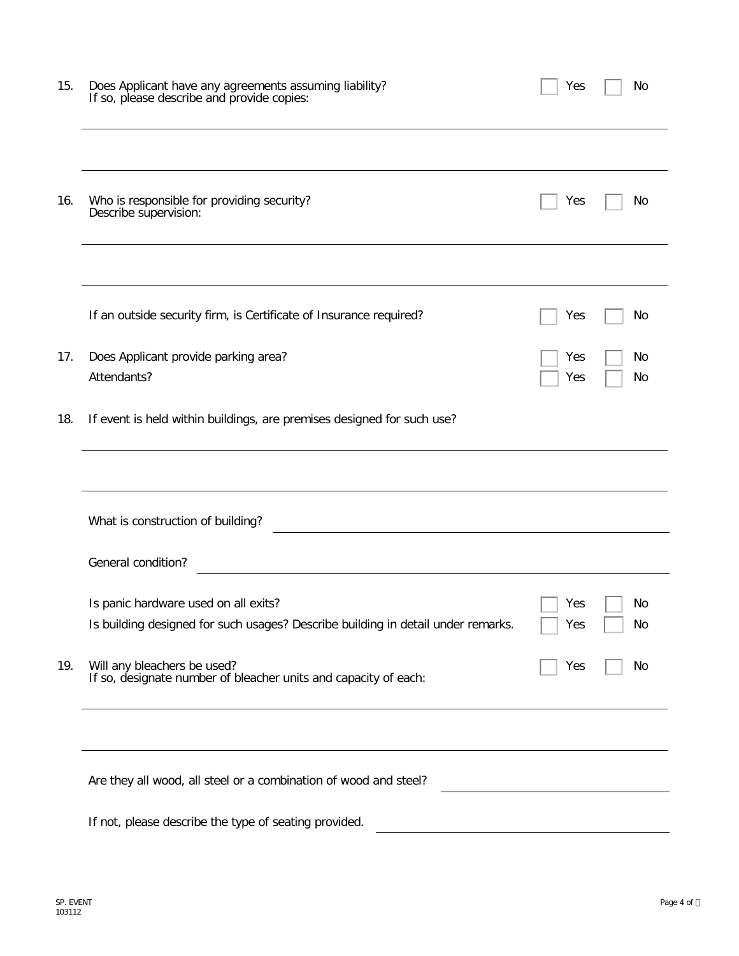| 15. | Does Applicant have any agreements assuming liability?<br>If so, please describe and provide copies: | Yes | No |
|-----|------------------------------------------------------------------------------------------------------|-----|----|
| 16. | Who is responsible for providing security?<br>Describe supervision:                                  | Yes | No |
|     | If an outside security firm, is Certificate of Insurance required?                                   | Yes | No |
| 17. | Does Applicant provide parking area?                                                                 | Yes | No |
|     | Attendants?                                                                                          | Yes | No |
| 18. | If event is held within buildings, are premises designed for such use?                               |     |    |
|     |                                                                                                      |     |    |
|     | What is construction of building?                                                                    |     |    |
|     | General condition?                                                                                   |     |    |
|     | Is panic hardware used on all exits?                                                                 | Yes | No |
|     | Is building designed for such usages? Describe building in detail under remarks.                     | Yes | No |
| 19. | Will any bleachers be used?<br>If so, designate number of bleacher units and capacity of each:       | Yes | No |
|     |                                                                                                      |     |    |
|     | Are they all wood, all steel or a combination of wood and steel?                                     |     |    |
|     | If not, please describe the type of seating provided.                                                |     |    |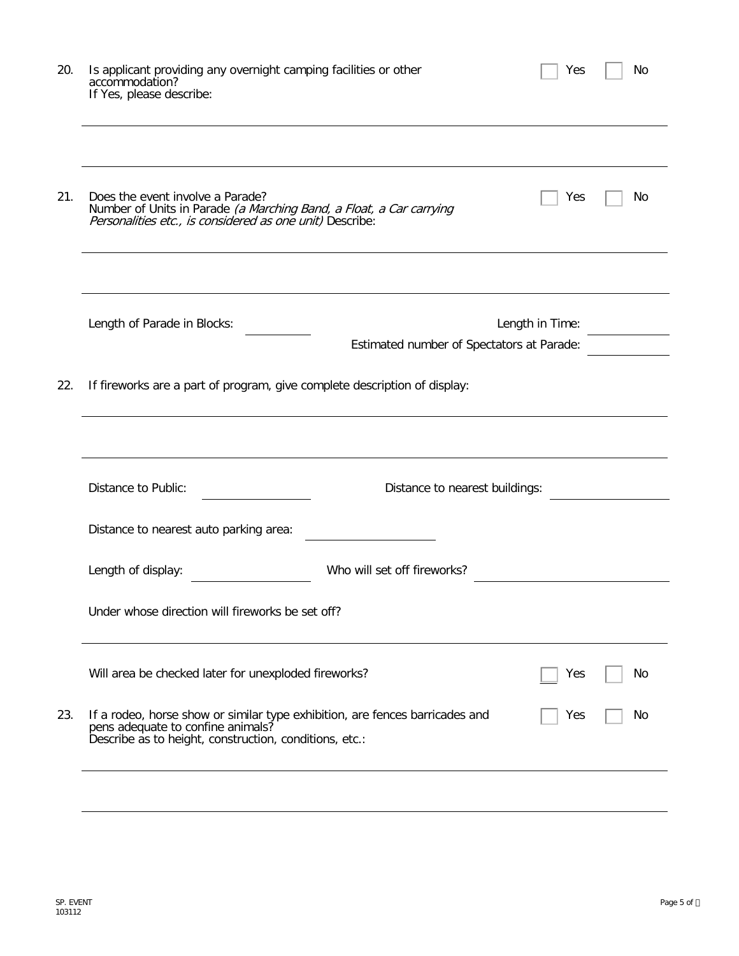| 20. | Is applicant providing any overnight camping facilities or other<br>accommodation?<br>If Yes, please describe:                                                              | Yes             | No  |
|-----|-----------------------------------------------------------------------------------------------------------------------------------------------------------------------------|-----------------|-----|
| 21. | Does the event involve a Parade?<br>Number of Units in Parade (a Marching Band, a Float, a Car carrying<br>Personalities etc., is considered as one unit) Describe:         | Yes             | No  |
|     | Length of Parade in Blocks:<br>Estimated number of Spectators at Parade:                                                                                                    | Length in Time: |     |
| 22. | If fireworks are a part of program, give complete description of display:                                                                                                   |                 |     |
|     |                                                                                                                                                                             |                 |     |
|     | Distance to Public:<br>Distance to nearest buildings:                                                                                                                       |                 |     |
|     | Distance to nearest auto parking area:                                                                                                                                      |                 |     |
|     | Who will set off fireworks?<br>Length of display:                                                                                                                           |                 |     |
|     | Under whose direction will fireworks be set off?                                                                                                                            |                 |     |
|     | Will area be checked later for unexploded fireworks?                                                                                                                        | Yes             | No. |
| 23. | If a rodeo, horse show or similar type exhibition, are fences barricades and<br>pens adequate to confine animals?<br>Describe as to height, construction, conditions, etc.: | Yes             | No  |
|     |                                                                                                                                                                             |                 |     |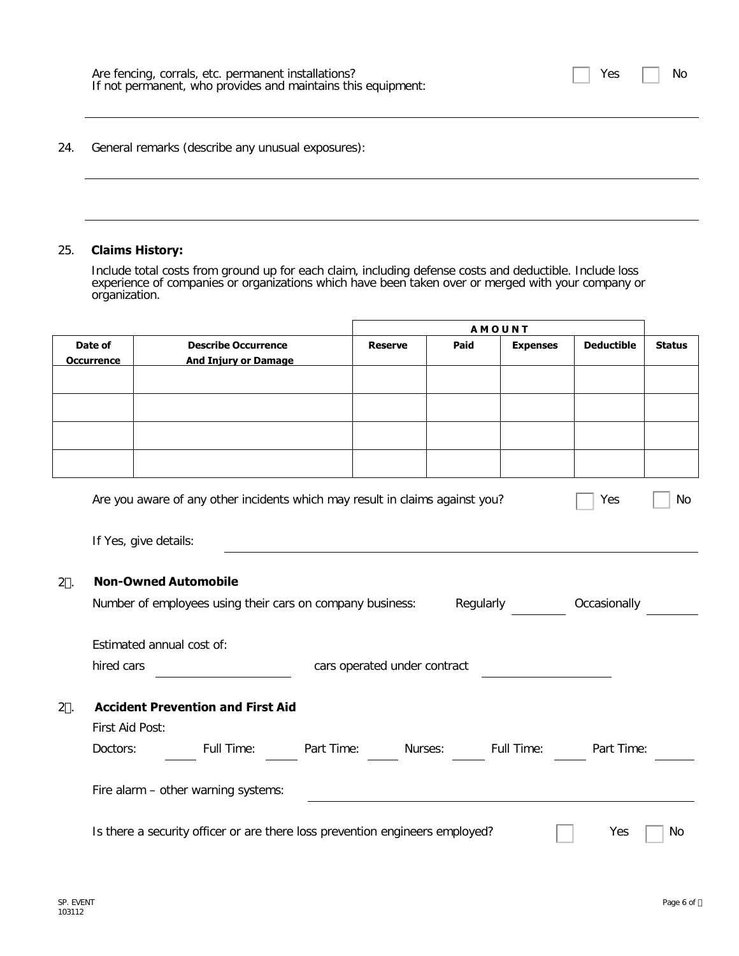| Are fencing, corrals, etc. permanent installations?<br>If not permanent, who provides and maintains this equipment: | $\Box$ Yes $\Box$ No |  |
|---------------------------------------------------------------------------------------------------------------------|----------------------|--|
|                                                                                                                     |                      |  |

24. General remarks (describe any unusual exposures):

#### 25. **Claims History:**

Include total costs from ground up for each claim, including defense costs and deductible. Include loss experience of companies or organizations which have been taken over or merged with your company or organization.

|         |                       |                                                                              |            | <b>AMOUNT</b>                |         |                   |                   |               |
|---------|-----------------------|------------------------------------------------------------------------------|------------|------------------------------|---------|-------------------|-------------------|---------------|
|         | Date of               | <b>Describe Occurrence</b>                                                   |            | <b>Reserve</b>               | Paid    | <b>Expenses</b>   | <b>Deductible</b> | <b>Status</b> |
|         | <b>Occurrence</b>     | <b>And Injury or Damage</b>                                                  |            |                              |         |                   |                   |               |
|         |                       |                                                                              |            |                              |         |                   |                   |               |
|         |                       |                                                                              |            |                              |         |                   |                   |               |
|         |                       |                                                                              |            |                              |         |                   |                   |               |
|         |                       |                                                                              |            |                              |         |                   |                   |               |
|         |                       |                                                                              |            |                              |         |                   |                   |               |
|         |                       |                                                                              |            |                              |         |                   |                   |               |
|         |                       | Are you aware of any other incidents which may result in claims against you? |            |                              |         |                   | Yes               | No            |
|         |                       |                                                                              |            |                              |         |                   |                   |               |
|         | If Yes, give details: |                                                                              |            |                              |         |                   |                   |               |
|         |                       |                                                                              |            |                              |         |                   |                   |               |
| $2^*$ . |                       | <b>Non-Owned Automobile</b>                                                  |            |                              |         |                   |                   |               |
|         |                       |                                                                              |            |                              |         |                   |                   |               |
|         |                       | Number of employees using their cars on company business:                    |            |                              |         | Regularly         | Occasionally      |               |
|         |                       | Estimated annual cost of:                                                    |            |                              |         |                   |                   |               |
|         | hired cars            |                                                                              |            | cars operated under contract |         |                   |                   |               |
|         |                       |                                                                              |            |                              |         |                   |                   |               |
| $2+$ .  |                       | <b>Accident Prevention and First Aid</b>                                     |            |                              |         |                   |                   |               |
|         | First Aid Post:       |                                                                              |            |                              |         |                   |                   |               |
|         |                       |                                                                              |            |                              |         |                   |                   |               |
|         | Doctors:              | Full Time:                                                                   | Part Time: |                              | Nurses: | <b>Full Time:</b> | Part Time:        |               |
|         |                       |                                                                              |            |                              |         |                   |                   |               |
|         |                       | Fire alarm - other warning systems:                                          |            |                              |         |                   |                   |               |
|         |                       |                                                                              |            |                              |         |                   |                   |               |
|         |                       | Is there a security officer or are there loss prevention engineers employed? |            |                              |         |                   | Yes               | No            |
|         |                       |                                                                              |            |                              |         |                   |                   |               |